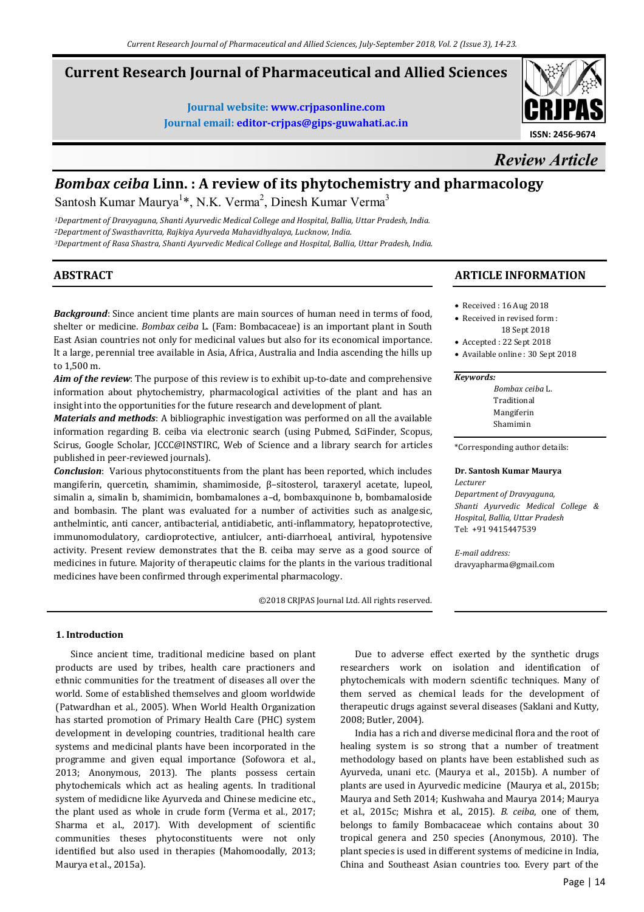# **Current Research Journal of Pharmaceutical and Allied Sciences**

**Journal website: www.crjpasonline.com Journal email: editor-crjpas@gips-guwahati.ac.in** 



*Review Article*

# *Bombax ceiba* **Linn. : A review of its phytochemistry and pharmacology**

Santosh Kumar Maurya<sup>1\*</sup>, N.K. Verma<sup>2</sup>, Dinesh Kumar Verma<sup>3</sup>

*<sup>1</sup>Department of Dravyaguna, Shanti Ayurvedic Medical College and Hospital, Ballia, Uttar Pradesh, India. <sup>2</sup>Department of Swasthavritta, Rajkiya Ayurveda Mahavidhyalaya, Lucknow, India. <sup>3</sup>Department of Rasa Shastra, Shanti Ayurvedic Medical College and Hospital, Ballia, Uttar Pradesh, India.* 

# **ABSTRACT**

*Background*: Since ancient time plants are main sources of human need in terms of food, shelter or medicine. *Bombax ceiba* L. (Fam: Bombacaceae) is an important plant in South East Asian countries not only for medicinal values but also for its economical importance. It a large, perennial tree available in Asia, Africa, Australia and India ascending the hills up to 1,500 m.

*Aim of the review*: The purpose of this review is to exhibit up-to-date and comprehensive information about phytochemistry, pharmacological activities of the plant and has an insight into the opportunities for the future research and development of plant.

*Materials and methods*: A bibliographic investigation was performed on all the available information regarding B. ceiba via electronic search (using Pubmed, SciFinder, Scopus, Scirus, Google Scholar, JCCC@INSTIRC, Web of Science and a library search for articles published in peer-reviewed journals).

*Conclusion*: Various phytoconstituents from the plant has been reported, which includes mangiferin, quercetin, shamimin, shamimoside, β–sitosterol, taraxeryl acetate, lupeol, simalin a, simalin b, shamimicin, bombamalones a–d, bombaxquinone b, bombamaloside and bombasin. The plant was evaluated for a number of activities such as analgesic, anthelmintic, anti cancer, antibacterial, antidiabetic, anti-inflammatory, hepatoprotective, immunomodulatory, cardioprotective, antiulcer, anti-diarrhoeal, antiviral, hypotensive activity. Present review demonstrates that the B. ceiba may serve as a good source of medicines in future. Majority of therapeutic claims for the plants in the various traditional medicines have been confirmed through experimental pharmacology.

©2018 CRJPAS Journal Ltd. All rights reserved.

## **1. Introduction**

 Since ancient time, traditional medicine based on plant products are used by tribes, health care practioners and ethnic communities for the treatment of diseases all over the world. Some of established themselves and gloom worldwide (Patwardhan et al., 2005). When World Health Organization has started promotion of Primary Health Care (PHC) system development in developing countries, traditional health care systems and medicinal plants have been incorporated in the programme and given equal importance (Sofowora et al., 2013; Anonymous, 2013). The plants possess certain phytochemicals which act as healing agents. In traditional system of medidicne like Ayurveda and Chinese medicine etc., the plant used as whole in crude form (Verma et al., 2017; Sharma et al., 2017). With development of scientific communities theses phytoconstituents were not only identified but also used in therapies (Mahomoodally, 2013; Maurya et al., 2015a).

# **ARTICLE INFORMATION**

- Received : 16 Aug 2018
- Received in revised form : 18 Sept 2018
- Accepted : 22 Sept 2018
- Available online : 30 Sept 2018

#### *Keywords:*

*Bombax ceiba* L. Traditional Mangiferin Shamimin

\*Corresponding author details:

#### **Dr. Santosh Kumar Maurya**

*Lecturer Department of Dravyaguna, Shanti Ayurvedic Medical College & Hospital, Ballia, Uttar Pradesh*  Tel: +91 9415447539

*E-mail address:* dravyapharma@gmail.com

 Due to adverse effect exerted by the synthetic drugs researchers work on isolation and identification of phytochemicals with modern scientific techniques. Many of them served as chemical leads for the development of therapeutic drugs against several diseases (Saklani and Kutty, 2008; Butler, 2004).

 India has a rich and diverse medicinal flora and the root of healing system is so strong that a number of treatment methodology based on plants have been established such as Ayurveda, unani etc. (Maurya et al., 2015b). A number of plants are used in Ayurvedic medicine (Maurya et al., 2015b; Maurya and Seth 2014; Kushwaha and Maurya 2014; Maurya et al., 2015c; Mishra et al., 2015). *B. ceiba*, one of them, belongs to family Bombacaceae which contains about 30 tropical genera and 250 species (Anonymous, 2010). The plant species is used in different systems of medicine in India, China and Southeast Asian countries too. Every part of the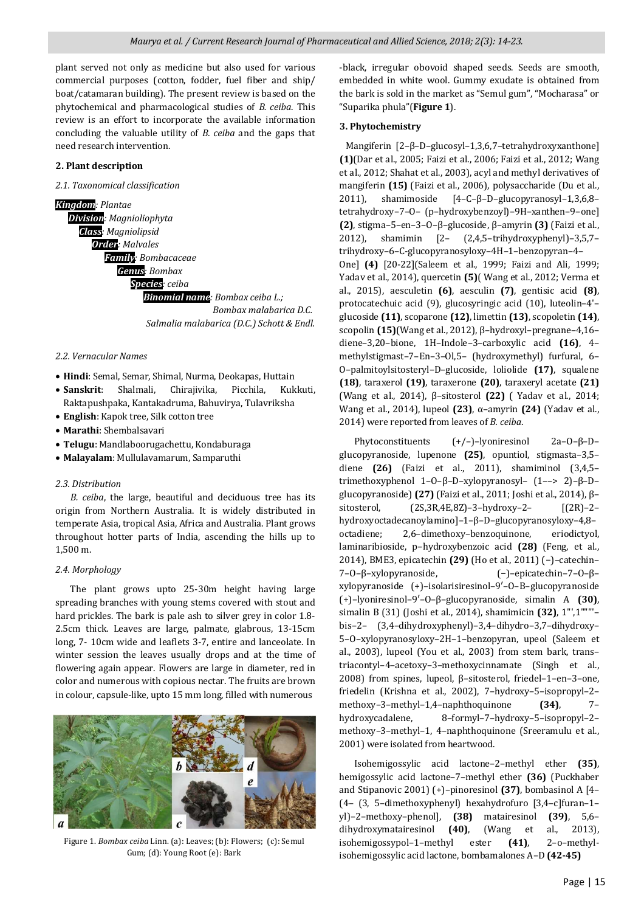plant served not only as medicine but also used for various commercial purposes (cotton, fodder, fuel fiber and ship/ boat/catamaran building). The present review is based on the phytochemical and pharmacological studies of *B. ceiba*. This review is an effort to incorporate the available information concluding the valuable utility of *B. ceiba* and the gaps that need research intervention.

#### **2. Plant description**

#### *2.1. Taxonomical classification*

*Kingdom: Plantae Division: Magnioliophyta Class: Magniolipsid Order: Malvales Family: Bombacaceae Genus: Bombax Species: ceiba Binomial name: Bombax ceiba L.; Bombax malabarica D.C. Salmalia malabarica (D.C.) Schott & Endl.* 

*2.2. Vernacular Names* 

- **Hindi**: Semal, Semar, Shimal, Nurma, Deokapas, Huttain
- **Sanskrit**: Shalmali, Chirajivika, Picchila, Kukkuti, Raktapushpaka, Kantakadruma, Bahuvirya, Tulavriksha
- **English**: Kapok tree, Silk cotton tree
- **Marathi**: Shembalsavari
- **Telugu**: Mandlaboorugachettu, Kondaburaga
- **Malayalam**: Mullulavamarum, Samparuthi

#### *2.3. Distribution*

 *B. ceiba*, the large, beautiful and deciduous tree has its origin from Northern Australia. It is widely distributed in temperate Asia, tropical Asia, Africa and Australia. Plant grows throughout hotter parts of India, ascending the hills up to 1,500 m.

#### *2.4. Morphology*

 The plant grows upto 25-30m height having large spreading branches with young stems covered with stout and hard prickles. The bark is pale ash to silver grey in color 1.8- 2.5cm thick. Leaves are large, palmate, glabrous, 13-15cm long, 7- 10cm wide and leaflets 3-7, entire and lanceolate. In winter session the leaves usually drops and at the time of flowering again appear. Flowers are large in diameter, red in color and numerous with copious nectar. The fruits are brown in colour, capsule-like, upto 15 mm long, filled with numerous



Figure 1. *Bombax ceiba* Linn. (a): Leaves; (b): Flowers; (c): Semul Gum; (d): Young Root (e): Bark

-black, irregular obovoid shaped seeds. Seeds are smooth, embedded in white wool. Gummy exudate is obtained from the bark is sold in the market as "Semul gum", "Mocharasa" or "Suparika phula"(**Figure 1**).

#### **3. Phytochemistry**

 Mangiferin [2–β–D–glucosyl–1,3,6,7–tetrahydroxyxanthone] **(1)**(Dar et al., 2005; Faizi et al., 2006; Faizi et al., 2012; Wang et al., 2012; Shahat et al., 2003), acyl and methyl derivatives of mangiferin **(15)** (Faizi et al., 2006), polysaccharide (Du et al., 2011), shamimoside [4–C–β–D–glucopyranosyl–1,3,6,8– tetrahydroxy–7–O– (p–hydroxybenzoyl)–9H–xanthen–9–one] **(2)**, stigma–5–en–3–O–β–glucoside, β–amyrin **(3)** (Faizi et al., 2012), shamimin [2– (2,4,5–trihydroxyphenyl)–3,5,7– trihydroxy–6–C-glucopyranosyloxy–4H–1–benzopyran–4– One] **(4)** [20-22](Saleem et al., 1999; Faizi and Ali, 1999; Yadav et al., 2014), quercetin **(5)**( Wang et al., 2012; Verma et al., 2015), aesculetin **(6)**, aesculin **(7)**, gentisic acid **(8)**, protocatechuic acid (9), glucosyringic acid (10), luteolin–4'– glucoside **(11)**, scoparone **(12)**, limettin **(13)**, scopoletin **(14)**, scopolin **(15)**(Wang et al., 2012), β–hydroxyl–pregnane–4,16– diene–3,20–bione, 1H–Indole–3–carboxylic acid **(16)**, 4– methylstigmast–7–En–3–Ol,5– (hydroxymethyl) furfural, 6– O–palmitoylsitosteryl–D–glucoside, loliolide **(17)**, squalene **(18)**, taraxerol **(19)**, taraxerone **(20)**, taraxeryl acetate **(21)** (Wang et al., 2014), β–sitosterol **(22)** ( Yadav et al., 2014; Wang et al., 2014), lupeol **(23)**, α–amyrin **(24)** (Yadav et al., 2014) were reported from leaves of *B. ceiba*.

 Phytoconstituents (+/–)–lyoniresinol 2a–O–β–D– glucopyranoside, lupenone **(25)**, opuntiol, stigmasta–3,5– diene **(26)** (Faizi et al., 2011), shamiminol (3,4,5– trimethoxyphenol 1–O–β–D–xylopyranosyl– (1––> 2)–β–D– glucopyranoside) **(27)** (Faizi et al., 2011; Joshi et al., 2014), β– sitosterol, (2S,3R,4E,8Z)–3–hydroxy–2– [(2R)–2– hydroxyoctadecanoylamino]–1–β–D–glucopyranosyloxy–4,8– octadiene; 2,6–dimethoxy–benzoquinone, eriodictyol, laminaribioside, p–hydroxybenzoic acid **(28)** (Feng, et al., 2014), BME3, epicatechin **(29)** (Ho et al., 2011) (−)–catechin– 7–O–β–xylopyranoside, (−)–epicatechin–7–O–β– xylopyranoside (+)–isolarisiresinol–9′–O–Β–glucopyranoside (+)–lyoniresinol–9′–O–β–glucopyranoside, simalin A **(30)**, simalin B (31) (Joshi et al., 2014), shamimicin **(32)**, 1"',1"""'– bis–2– (3,4–dihydroxyphenyl)–3,4–dihydro–3,7–dihydroxy– 5–O–xylopyranosyloxy–2H–1–benzopyran, upeol (Saleem et al., 2003), lupeol (You et al., 2003) from stem bark, trans– triacontyl–4–acetoxy–3–methoxycinnamate (Singh et al., 2008) from spines, lupeol, β–sitosterol, friedel–1–en–3–one, friedelin (Krishna et al., 2002), 7–hydroxy–5–isopropyl–2– methoxy–3–methyl–1,4–naphthoquinone **(34)**, 7– hydroxycadalene, 8–formyl–7–hydroxy–5–isopropyl–2– methoxy–3–methyl–1, 4–naphthoquinone (Sreeramulu et al., 2001) were isolated from heartwood.

 Isohemigossylic acid lactone–2–methyl ether **(35)**, hemigossylic acid lactone–7–methyl ether **(36)** (Puckhaber and Stipanovic 2001) (+)–pinoresinol **(37)**, bombasinol A [4– (4– (3, 5–dimethoxyphenyl) hexahydrofuro [3,4–c]furan–1– yl)–2–methoxy–phenol], **(38)** matairesinol **(39)**, 5,6– dihydroxymatairesinol **(40)**, (Wang et al., 2013), isohemigossypol–1–methyl ester **(41)**, 2–o–methylisohemigossylic acid lactone, bombamalones A–D **(42-45)**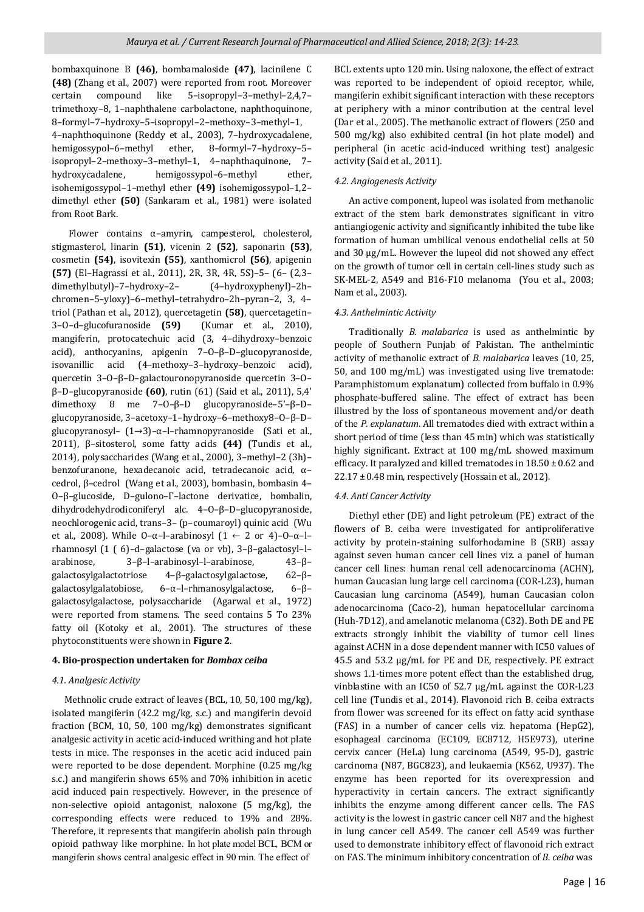bombaxquinone B **(46)**, bombamaloside **(47)**, lacinilene C **(48)** (Zhang et al., 2007) were reported from root. Moreover certain compound like 5–isopropyl–3–methyl–2,4,7– trimethoxy–8, 1–naphthalene carbolactone, naphthoquinone, 8–formyl–7–hydroxy–5–isopropyl–2–methoxy–3–methyl–1, 4–naphthoquinone (Reddy et al., 2003), 7–hydroxycadalene, hemigossypol–6–methyl ether, 8–formyl–7–hydroxy–5– isopropyl–2–methoxy–3–methyl–1, 4–naphthaquinone, 7– hydroxycadalene, hemigossypol–6–methyl ether, isohemigossypol–1–methyl ether **(49)** isohemigossypol–1,2– dimethyl ether **(50)** (Sankaram et al., 1981) were isolated from Root Bark.

 Flower contains α–amyrin, campesterol, cholesterol, stigmasterol, linarin **(51)**, vicenin 2 **(52)**, saponarin **(53)**, cosmetin **(54)**, isovitexin **(55)**, xanthomicrol **(56)**, apigenin **(57)** (El–Hagrassi et al., 2011), 2R, 3R, 4R, 5S)–5– (6– (2,3– dimethylbutyl)–7–hydroxy–2– (4–hydroxyphenyl)–2h– chromen–5–yloxy)–6–methyl–tetrahydro–2h–pyran–2, 3, 4– triol (Pathan et al., 2012), quercetagetin **(58)**, quercetagetin– 3–O–d–glucofuranoside **(59)** (Kumar et al., 2010), mangiferin, protocatechuic acid (3, 4–dihydroxy–benzoic acid), anthocyanins, apigenin 7–O–β–D–glucopyranoside, isovanillic acid (4–methoxy–3–hydroxy–benzoic acid), quercetin 3–O–β–D–galactouronopyranoside quercetin 3–O– β–D–glucopyranoside **(60)**, rutin (61) (Said et al., 2011), 5,4' dimethoxy 8 me 7–O–β–D glucopyranoside–5'–β–D– glucopyranoside, 3–acetoxy–1–hydroxy–6–methoxy8–O–β–D– glucopyranosyl– (1→3)–α–l–rhamnopyranoside (Sati et al., 2011), β–sitosterol, some fatty acids **(44)** (Tundis et al., 2014), polysaccharides (Wang et al., 2000), 3–methyl–2 (3h)– benzofuranone, hexadecanoic acid, tetradecanoic acid, α– cedrol, β–cedrol (Wang et al., 2003), bombasin, bombasin 4– O–β–glucoside, D–gulono–Γ–lactone derivatice, bombalin, dihydrodehydrodiconiferyl alc. 4–O–β–D–glucopyranoside, neochlorogenic acid, trans–3– (p–coumaroyl) quinic acid (Wu et al., 2008). While O-α-l-arabinosyl  $(1 \leftarrow 2 \text{ or } 4)$ -O-α-lrhamnosyl (1 ( 6)–d–galactose (va or vb), 3–β–galactosyl–l– arabinose, 3–β–l–arabinosyl–l–arabinose, 43–β– galactosylgalactotriose 4–β–galactosylgalactose, 62–β– galactosylgalatobiose, 6–α–l–rhmanosylgalactose, 6–β– galactosylgalactose, polysaccharide (Agarwal et al., 1972) were reported from stamens. The seed contains 5 To 23% fatty oil (Kotoky et al., 2001). The structures of these phytoconstituents were shown in **Figure 2**.

## **4. Bio-prospection undertaken for** *Bombax ceiba*

## *4.1. Analgesic Activity*

 Methnolic crude extract of leaves (BCL, 10, 50, 100 mg/kg), isolated mangiferin (42.2 mg/kg, s.c.) and mangiferin devoid fraction (BCM, 10, 50, 100 mg/kg) demonstrates significant analgesic activity in acetic acid-induced writhing and hot plate tests in mice. The responses in the acetic acid induced pain were reported to be dose dependent. Morphine (0.25 mg/kg s.c.) and mangiferin shows 65% and 70% inhibition in acetic acid induced pain respectively. However, in the presence of non-selective opioid antagonist, naloxone (5 mg/kg), the corresponding effects were reduced to 19% and 28%. Therefore, it represents that mangiferin abolish pain through opioid pathway like morphine. In hot plate model BCL*,* BCM or mangiferin shows central analgesic effect in 90 min. The effect of

BCL extents upto 120 min. Using naloxone, the effect of extract was reported to be independent of opioid receptor, while, mangiferin exhibit significant interaction with these receptors at periphery with a minor contribution at the central level (Dar et al., 2005). The methanolic extract of flowers (250 and 500 mg/kg) also exhibited central (in hot plate model) and peripheral (in acetic acid-induced writhing test) analgesic activity (Said et al., 2011).

## *4.2. Angiogenesis Activity*

 An active component, lupeol was isolated from methanolic extract of the stem bark demonstrates significant in vitro antiangiogenic activity and significantly inhibited the tube like formation of human umbilical venous endothelial cells at 50 and 30 µg/mL. However the lupeol did not showed any effect on the growth of tumor cell in certain cell-lines study such as SK-MEL-2, A549 and B16-F10 melanoma (You et al., 2003; Nam et al., 2003).

# *4.3. Anthelmintic Activity*

 Traditionally *B. malabarica* is used as anthelmintic by people of Southern Punjab of Pakistan. The anthelmintic activity of methanolic extract of *B. malabarica* leaves (10, 25, 50, and 100 mg/mL) was investigated using live trematode: Paramphistomum explanatum) collected from buffalo in 0.9% phosphate-buffered saline. The effect of extract has been illustred by the loss of spontaneous movement and/or death of the *P. explanatum*. All trematodes died with extract within a short period of time (less than 45 min) which was statistically highly significant. Extract at 100 mg/mL showed maximum efficacy. It paralyzed and killed trematodes in 18.50 ± 0.62 and 22.17 ± 0.48 min, respectively (Hossain et al., 2012).

# *4.4. Anti Cancer Activity*

 Diethyl ether (DE) and light petroleum (PE) extract of the flowers of B. ceiba were investigated for antiproliferative activity by protein-staining sulforhodamine B (SRB) assay against seven human cancer cell lines viz. a panel of human cancer cell lines: human renal cell adenocarcinoma (ACHN), human Caucasian lung large cell carcinoma (COR-L23), human Caucasian lung carcinoma (A549), human Caucasian colon adenocarcinoma (Caco-2), human hepatocellular carcinoma (Huh-7D12), and amelanotic melanoma (C32). Both DE and PE extracts strongly inhibit the viability of tumor cell lines against ACHN in a dose dependent manner with IC50 values of 45.5 and 53.2 µg/mL for PE and DE, respectively. PE extract shows 1.1-times more potent effect than the established drug, vinblastine with an IC50 of 52.7 µg/mL against the COR-L23 cell line (Tundis et al., 2014). Flavonoid rich B. ceiba extracts from flower was screened for its effect on fatty acid synthase (FAS) in a number of cancer cells viz. hepatoma (HepG2), esophageal carcinoma (EC109, EC8712, H5E973), uterine cervix cancer (HeLa) lung carcinoma (A549, 95-D), gastric carcinoma (N87, BGC823), and leukaemia (K562, U937). The enzyme has been reported for its overexpression and hyperactivity in certain cancers. The extract significantly inhibits the enzyme among different cancer cells. The FAS activity is the lowest in gastric cancer cell N87 and the highest in lung cancer cell A549. The cancer cell A549 was further used to demonstrate inhibitory effect of flavonoid rich extract on FAS. The minimum inhibitory concentration of *B. ceiba* was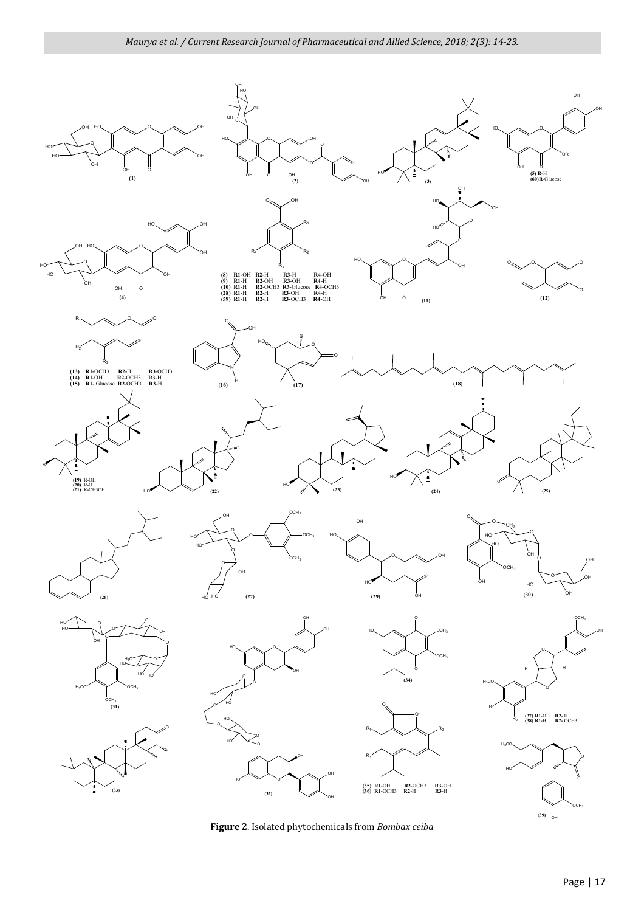

**Figure 2**. Isolated phytochemicals from *Bombax ceiba*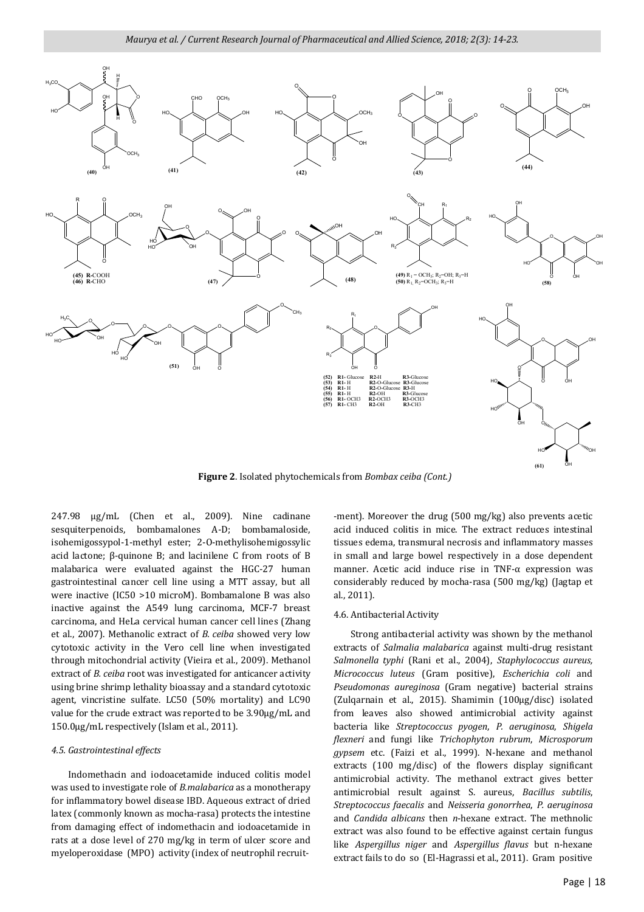

**Figure 2**. Isolated phytochemicals from *Bombax ceiba (Cont.)*

247.98 μg/mL (Chen et al., 2009). Nine cadinane sesquiterpenoids, bombamalones A-D; bombamaloside, isohemigossypol-1-methyl ester; 2-O-methylisohemigossylic acid lactone; β-quinone B; and lacinilene C from roots of B malabarica were evaluated against the HGC-27 human gastrointestinal cancer cell line using a MTT assay, but all were inactive (IC50 >10 microM). Bombamalone B was also inactive against the A549 lung carcinoma, MCF-7 breast carcinoma, and HeLa cervical human cancer cell lines (Zhang et al., 2007). Methanolic extract of *B. ceiba* showed very low cytotoxic activity in the Vero cell line when investigated through mitochondrial activity (Vieira et al., 2009). Methanol extract of *B. ceiba* root was investigated for anticancer activity using brine shrimp lethality bioassay and a standard cytotoxic agent, vincristine sulfate. LC50 (50% mortality) and LC90 value for the crude extract was reported to be 3.90μg/mL and 150.0μg/mL respectively (Islam et al., 2011).

#### *4.5. Gastrointestinal effects*

 Indomethacin and iodoacetamide induced colitis model was used to investigate role of *B.malabarica* as a monotherapy for inflammatory bowel disease IBD. Aqueous extract of dried latex (commonly known as mocha-rasa) protects the intestine from damaging effect of indomethacin and iodoacetamide in rats at a dose level of 270 mg/kg in term of ulcer score and myeloperoxidase (MPO) activity (index of neutrophil recruit-

-ment). Moreover the drug (500 mg/kg) also prevents acetic acid induced colitis in mice. The extract reduces intestinal tissues edema, transmural necrosis and inflammatory masses in small and large bowel respectively in a dose dependent manner. Acetic acid induce rise in TNF-α expression was considerably reduced by mocha-rasa (500 mg/kg) (Jagtap et al., 2011).

#### 4.6. Antibacterial Activity

 Strong antibacterial activity was shown by the methanol extracts of *Salmalia malabarica* against multi-drug resistant *Salmonella typhi* (Rani et al., 2004), *Staphylococcus aureus, Micrococcus luteus* (Gram positive), *Escherichia coli* and *Pseudomonas aureginosa* (Gram negative) bacterial strains (Zulqarnain et al., 2015). Shamimin (100µg/disc) isolated from leaves also showed antimicrobial activity against bacteria like *Streptococcus pyogen*, *P. aeruginosa*, *Shigela flexneri* and fungi like *Trichophyton rubrum*, *Microsporum gypsem* etc. (Faizi et al., 1999). N-hexane and methanol extracts (100 mg/disc) of the flowers display significant antimicrobial activity. The methanol extract gives better antimicrobial result against S. aureus, *Bacillus subtilis*, *Streptococcus faecalis* and *Neisseria gonorrhea*, *P. aeruginosa* and *Candida albicans* then *n*-hexane extract. The methnolic extract was also found to be effective against certain fungus like *Aspergillus niger* and *Aspergillus flavus* but n-hexane extract fails to do so (El-Hagrassi et al., 2011). Gram positive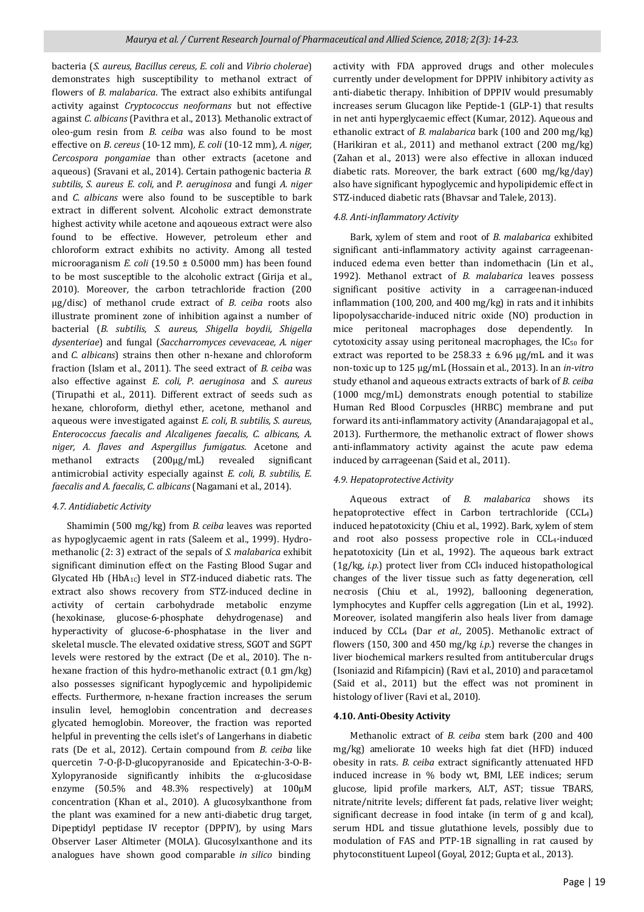bacteria (*S. aureus, Bacillus cereus, E. coli* and *Vibrio cholerae*) demonstrates high susceptibility to methanol extract of flowers of *B. malabarica*. The extract also exhibits antifungal activity against *Cryptococcus neoformans* but not effective against *C. albicans* (Pavithra et al., 2013). Methanolic extract of oleo-gum resin from *B. ceiba* was also found to be most effective on *B*. *cereus* (10-12 mm)*, E. coli* (10-12 mm)*, A. niger, Cercospora pongamiae* than other extracts (acetone and aqueous) (Sravani et al., 2014). Certain pathogenic bacteria *B. subtilis, S. aureus E. coli,* and *P. aeruginosa* and fungi *A. niger* and *C. albicans* were also found to be susceptible to bark extract in different solvent. Alcoholic extract demonstrate highest activity while acetone and aqoueous extract were also found to be effective. However*,* petroleum ether and chloroform extract exhibits no activity. Among all tested microoraganism *E. coli* (19.50 ± 0.5000 mm) has been found to be most susceptible to the alcoholic extract (Girija et al., 2010). Moreover*,* the carbon tetrachloride fraction (200 µg/disc) of methanol crude extract of *B. ceiba* roots also illustrate prominent zone of inhibition against a number of bacterial (*B. subtilis, S. aureus, Shigella boydii, Shigella dysenteriae*) and fungal (*Saccharromyces cevevaceae, A. niger*  and *C. albicans*) strains then other n-hexane and chloroform fraction (Islam et al., 2011). The seed extract of *B. ceiba* was also effective against *E. coli, P. aeruginosa* and *S. aureus* (Tirupathi et al., 2011). Different extract of seeds such as hexane*,* chloroform*,* diethyl ether*,* acetone*,* methanol and aqueous were investigated against *E. coli, B. subtilis, S. aureus, Enterococcus faecalis and Alcaligenes faecalis, C. albicans, A. niger, A. flaves and Aspergillus fumigatus*. Acetone and methanol extracts (200µg/mL) revealed significant antimicrobial activity especially against *E. coli, B. subtilis, E. faecalis and A. faecalis, C. albicans* (Nagamani et al., 2014).

## *4.7. Antidiabetic Activity*

 Shamimin (500 mg/kg) from *B. ceiba* leaves was reported as hypoglycaemic agent in rats (Saleem et al., 1999). Hydromethanolic (2: 3) extract of the sepals of *S. malabarica* exhibit significant diminution effect on the Fasting Blood Sugar and Glycated Hb  $(HbA_{1C})$  level in STZ-induced diabetic rats. The extract also shows recovery from STZ-induced decline in activity of certain carbohydrade metabolic enzyme (hexokinase*,* glucose-6-phosphate dehydrogenase) and hyperactivity of glucose-6-phosphatase in the liver and skeletal muscle. The elevated oxidative stress*,* SGOT and SGPT levels were restored by the extract (De et al., 2010). The nhexane fraction of this hydro-methanolic extract (0.1 gm/kg) also possesses significant hypoglycemic and hypolipidemic effects. Furthermore*,* n-hexane fraction increases the serum insulin level*,* hemoglobin concentration and decreases glycated hemoglobin. Moreover, the fraction was reported helpful in preventing the cells islet's of Langerhans in diabetic rats (De et al., 2012). Certain compound from *B. ceiba* like quercetin 7-O-β-D-glucopyranoside and Epicatechin-3-O-Β-Xylopyranoside significantly inhibits the α-glucosidase enzyme (50.5% and 48.3% respectively) at 100μM concentration (Khan et al., 2010). A glucosylxanthone from the plant was examined for a new anti-diabetic drug target*,*  Dipeptidyl peptidase IV receptor (DPPIV)*,* by using Mars Observer Laser Altimeter (MOLA). Glucosylxanthone and its analogues have shown good comparable *in silico* binding

activity with FDA approved drugs and other molecules currently under development for DPPIV inhibitory activity as anti-diabetic therapy. Inhibition of DPPIV would presumably increases serum Glucagon like Peptide-1 (GLP-1) that results in net anti hyperglycaemic effect (Kumar*,* 2012). Aqueous and ethanolic extract of *B. malabarica* bark (100 and 200 mg/kg) (Harikiran et al., 2011) and methanol extract (200 mg/kg) (Zahan et al., 2013) were also effective in alloxan induced diabetic rats. Moreover*,* the bark extract (600 mg/kg/day) also have significant hypoglycemic and hypolipidemic effect in STZ-induced diabetic rats (Bhavsar and Talele*,* 2013).

## *4.8. Anti-inflammatory Activity*

 Bark*,* xylem of stem and root of *B. malabarica* exhibited significant anti-inflammatory activity against carrageenaninduced edema even better than indomethacin (Lin et al., 1992). Methanol extract of *B. malabarica* leaves possess significant positive activity in a carrageenan-induced inflammation (100*,* 200*,* and 400 mg/kg) in rats and it inhibits lipopolysaccharide-induced nitric oxide (NO) production in mice peritoneal macrophages dose dependently. In cytotoxicity assay using peritoneal macrophages*,* the IC50 for extract was reported to be  $258.33 \pm 6.96$  µg/mL and it was non-toxic up to 125 µg/mL (Hossain et al., 2013). In an *in-vitro* study ethanol and aqueous extracts extracts of bark of *B. ceiba* (1000 mcg/mL) demonstrats enough potential to stabilize Human Red Blood Corpuscles (HRBC) membrane and put forward its anti-inflammatory activity (Anandarajagopal et al., 2013). Furthermore*,* the methanolic extract of flower shows anti-inflammatory activity against the acute paw edema induced by carrageenan (Said et al., 2011).

## *4.9. Hepatoprotective Activity*

 Aqueous extract of *B. malabarica* shows its hepatoprotective effect in Carbon tertrachloride (CCL4) induced hepatotoxicity (Chiu et al., 1992). Bark*,* xylem of stem and root also possess propective role in CCL4-induced hepatotoxicity (Lin et al., 1992). The aqueous bark extract (1g/kg, *i.p.*) protect liver from CCl4 induced histopathological changes of the liver tissue such as fatty degeneration*,* cell necrosis (Chiu et al., 1992)*,* ballooning degeneration*,*  lymphocytes and Kupffer cells aggregation (Lin et al., 1992). Moreover*,* isolated mangiferin also heals liver from damage induced by CCL4 (Dar *et al.,* 2005). Methanolic extract of flowers (150, 300 and 450 mg/kg *i.p.*) reverse the changes in liver biochemical markers resulted from antitubercular drugs (Isoniazid and Rifampicin) (Ravi et al., 2010) and paracetamol (Said et al., 2011) but the effect was not prominent in histology of liver (Ravi et al., 2010).

#### **4.10. Anti-Obesity Activity**

 Methanolic extract of *B. ceiba* stem bark (200 and 400 mg/kg) ameliorate 10 weeks high fat diet (HFD) induced obesity in rats. *B. ceiba* extract significantly attenuated HFD induced increase in % body wt*,* BMI*,* LEE indices; serum glucose*,* lipid profile markers*,* ALT*,* AST; tissue TBARS*,*  nitrate/nitrite levels; different fat pads, relative liver weight; significant decrease in food intake (in term of g and kcal)*,*  serum HDL and tissue glutathione levels, possibly due to modulation of FAS and PTP-1B signalling in rat caused by phytoconstituent Lupeol (Goyal*,* 2012; Gupta et al., 2013).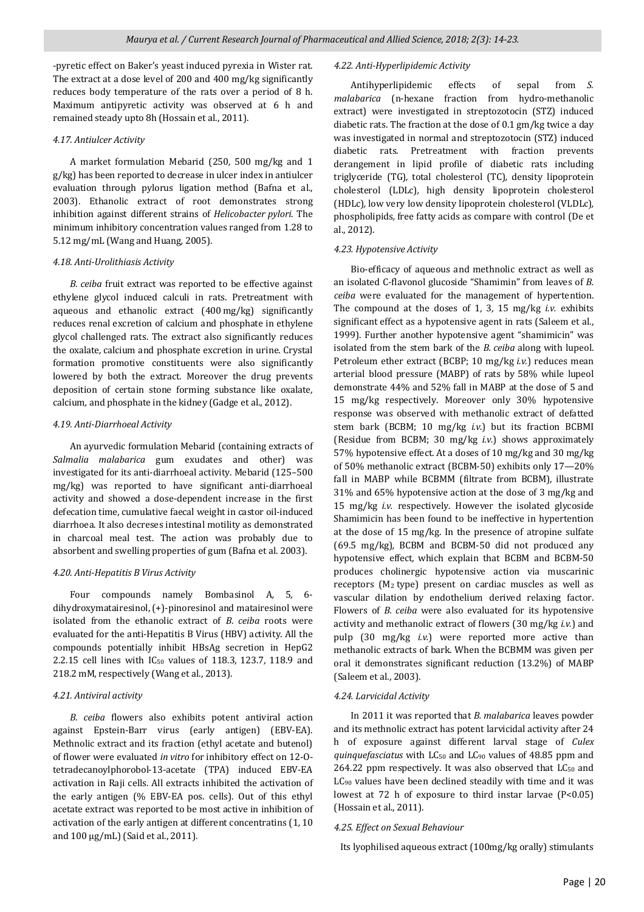-pyretic effect on Baker's yeast induced pyrexia in Wister rat. A polyherbal formulation "RV08" containing *Asparagus*  reduces body temperature of the rats over a period of 8 h. *racemosus, Mucuna pruriens, Withania somnifera, B.*  Maximum antipyretic activity was observed at 6 h and *malamam anapyrene activity was observed at 6 n and Cleodendrum serratum* and *Sida cordifolia* shows its ability to remained steady upto 8h (Hossain et al., 2011). The extract at a dose level of 200 and 400 mg/kg significantly

# potentiate both specific and nonspecific host defense *4.17. Antiulcer Activity*

A market formulation Mebarid (250, 500 mg/kg and 1 g/kg) has been reported to decrease in ulcer index in antiulcer evaluation through pylorus ligation method (Bafna et al., 2003). Ethanolic extract of root demonstrates strong inhibition against different strains of *Helicobacter pylori*. The minimum inhibitory concentration values ranged from 1.28 to 5.12 mg/mL (Wang and Huang, 2005).

#### $\epsilon$  ethanolic extract of the bark was also found to be effective in the best of the best of the best of the best of the best of the best of the best of the best of the best of the best of the best of the best of the best cyclophosphamide induced immune suppression in mice. *4.18. Anti-Urolithiasis Activity*

B. ceiba fruit extract was reported to be effective against ethylene glycol induced calculi in rats. Pretreatment with aqueous and ethanolic extract (400*mg/kg)* significantly reduces renal excretion of calcium and phosphate in ethylene glycol challenged rats. The extract also significantly reduces formation promotive constituents were also significantly lowered by both the extract. Moreover the drug prevents deposition of certain stone forming substance like oxalate, calcium, and phosphate in the kidney (Gadge et al., 2012). the oxalate*,* calcium and phosphate excretion in urine. Crystal

# Cardiac marker enzymes [Lactate dehydrogenase (LDH) and *4.19. Anti-Diarrhoeal Activity*

An ayurvedic formulation Mebarid (containing extracts of animal treated and analysis heart homogenate which homogenate while the same of the same of the same of the salman in the same of the same of the same of the same of the same of the same of the same of the same of the same increase in serum after Adr treatment. The healing effect was investigated for its anti-diarrhoeal activity. Mebarid (125–500 myestigated for its anti-diarrhoeal deavity. Mesarid (125–500)<br>mg/kg) was reported to have significant anti-diarrhoeal mig/Rg) was reported to have significant and diarrhoed activity and showed a dose-dependent increase in the first activity and showed a dose dependent increase in the mot defecation time, cumulative faecal weight in castor oil-induced man model. It also decreases intestinal modify as demonstrated<br>in charcoal meal test. The action was probably due to administration produced significant fibric action was probably due to absorbent and swelling properties of gum (Bafna et al. 2003). diarrhoea. It also decreses intestinal motility as demonstrated

# *4.13. Antioxidant Activity 4.20. Anti-Hepatitis B Virus Activity*

Four compounds namely Bombasinol A, 5, 6dihydroxymatairesinol, (+)-pinoresinol and matairesinol were isolated from the ethanolic extract of *B. ceiba* roots were evaluated for the anti-Hepatitis B Virus (HBV) activity. All the compounds potentially inhibit HBsAg secretion in HepG2 2.2.15 cell lines with IC<sub>50</sub> values of 118.3, 123.7, 118.9 and 218.2 mM, respectively (Wang et al., 2013).

## DPPH*,* ABTS*,* nitric oxide and superoxide radical scavenging *4.21. Antiviral activity*   $\frac{1}{2}$  reducing anti-

B. ceiba flowers also exhibits potent antiviral action against Epstein-Barr virus (early antigen) (EBV-EA). Methnolic extract and its fraction (ethyl acetate and butenol) of flower were evaluated *in vitro* for inhibitory effect on 12-Otetradecanoylphorobol-13-acetate (TPA) induced EBV-EA activation in Raji cells. All extracts inhibited the activation of the early antigen (% EBV-EA pos. cells). Out of this ethyl acetate extract was reported to be most active in inhibition of activation of the early antigen at different concentratins (1, 10 and 100  $\mu$ g/mL) (Said et al., 2011).

#### *B. malabarica* flower were explored in DPPH radical-*4.22. Anti-Hyperlipidemic Activity*

Antihyperlipidemic effects of sepal from *S*. *nininy* peripherme enects or separation is malabarica (n-hexane fraction from hydro-methanolic manubalited (in field in street in the liposome performance extract) were investigated in streptozotocin (STZ) induced extract) were investigated in streptozotocin (512) induced<br>diabetic rats. The fraction at the dose of 0.1 gm/kg twice a day mabede rads. The nacdon at the dose or 0.1 gm/kg twice a day<br>was investigated in normal and streptozotocin (STZ) induced was investigated in normal and streptozotocin (312) matted<br>diabetic rats. Pretreatment with fraction prevents derangement in lipid profile of diabetic rats including<br>derangement in lipid profile of diabetic rats including extracts (*The allegending methanolic community in the community of the community of the community of the community of the community of the community of the community of the community of the community of the community of t al*. *(TG)*, *total cholesterol (TC)*, *density lipoprotein*<br>
the distribution of the distribution of the distribution flower (Tundis *et al*.*,* 2014) also exhibited significant (HDLc)*,* low very low density lipoprotein cholesterol (VLDLc)*,*  antioxidant activities in different *in-vitro* models. A linear phospholipids, free fatty acids as compare with control (De et  $\frac{1}{2}$ , 2012). antioxidant activity of  $\alpha$  methods of  $\alpha$ cholesterol (LDLc)*,* high density lipoprotein cholesterol al., 2012).

#### *et al*.*,* 2013). Furthermore*,* the ethyl acetate soluble fraction of *4.23. Hypotensive Activity*

Bio-efficacy of aqueous and methnolic extract as well as from human and sheep bloods) even at a highest an isolated C-flavonol glucoside "Shamimin" from leaves of *B.*  an isolated c havoilor glacoside chamming from leaves of *B*. ceiba were evaluated for the management of hypertention. (Mishra *et al*.*,* 2015) and resin (Rao *et al*.*,* 2015) also shows The compound at the doses of 1*,* 3*,* 15 mg/kg *i.v.* exhibits and the deseable *radical* in  $\frac{1}{2}$ ,  $\frac{1}{2}$ ,  $\frac{1}{2}$ ,  $\frac{1}{2}$ ,  $\frac{1}{2}$ ,  $\frac{1}{2}$ ,  $\frac{1}{2}$ ,  $\frac{1}{2}$ ,  $\frac{1}{2}$ ,  $\frac{1}{2}$ ,  $\frac{1}{2}$ ,  $\frac{1}{2}$ ,  $\frac{1}{2}$ ,  $\frac{1}{2}$ ,  $\frac{1}{2}$ ,  $\frac{1}{2}$ ,  $\frac{1}{2}$ ,  $\frac{1$ reducing enter as a hypotensive agent in rats (saleem et al., 1999). Further another hypotensive agent "shamimicin" was metholic extensive agent shamment was reported to be 15.07 µg while it is a reported to be 15.07 µg while it is a reported to be 15.07 µg while it is a reported to be 15.07 µg while it is a reported to be 15.07 µg while it isolated from the stem bark of the *B. ceiba* along with lupeol. arterial blood pressure (MABP) of rats by 58% while lupeol demonstrate 44% and 52% fall in MABP at the dose of 5 and demonstrate 1170 and 5270 idn in mini- at the dose of 5 and<br>15 mg/kg respectively. Moreover only 30% hypotensive 2011). response was observed with methanolic extract of defatted *4.14. Anti-acne Activity*  stem bark (BCBM; 10 mg/kg *i.v.*) but its fraction BCBMI (Residue from BCBM; 30 mg/kg i.v.) shows approximately *barbadensis, Vitex negundo* along with powders of *Lens*  57% hypotensive effect. At a doses of 10 mg/kg and 30 mg/kg of 50% methanolic extract (BCBM-50) exhibits only 17—20% fall in MABP while BCBMM (filtrate from BCBM)*,* illustrate 31% and 65% hypotensive action at the dose of 3 mg/kg and 15 mg/kg i.v. respectively. However the isolated glycoside Shamimicin has been found to be ineffective in hypertention at the dose of 15 mg/kg. In the presence of atropine sulfate *racemosa, Salmalia malabarica, Picrorhiza kurroa, Vitex*  (69.5 mg/kg)*,* BCBM and BCBM-50 did not produced any *negundo, Embelia ribes, Terminalia chebula* and *Terminalia*  hypotensive effect*,* which explain that BCBM and BCBM-50 produces cholinergic hypotensive action via muscarinic receptors (M<sub>2</sub> type) present on cardiac muscles as well as vascular dilation by endothelium derived relaxing factor. Flowers of *B. ceiba* were also evaluated for its hypotensive activity and methanolic extract of flowers (30 mg/kg *i.v.*) and pulp (30 mg/kg *i.v.*) were reported more active than methanolic extracts of bark. When the BCBMM was given per oral it demonstrates significant reduction (13.2%) of MABP (Saleem et al., 2003). Petroleum ether extract (BCBP; 10 mg/kg *i.v.*) reduces mean

#### *4.15. Anabolic Effect 4.24. Larvicidal Activity*

In 2011 it was reported that *B. malabarica* leaves powder and its methnolic extract has potent larvicidal activity after 24 h of exposure against different larval stage of Culex quinquefasciatus with  $LC_{50}$  and  $LC_{90}$  values of 48.85 ppm and 264.22 ppm respectively. It was also observed that  $LC_{50}$  and  $LC_{90}$  values have been declined steadily with time and it was lowest at 72 h of exposure to third instar larvae  $(P<0.05)$ (Hossain et al., 2011).  $\blacksquare$ In 2011 it was reported that *B. malabarica* leaves powder<br>and its methnolic extract has potent larvicidal activity after 24<br>h of exposure against different larval stage of *Culex*<br>*quinquefasciatus* with LC<sub>50</sub> and LC<sub>90</sub>

# discontinuation (Verma *et al*.*,* 2011). *4.25. Effect on Sexual Behaviour*

*4.16. Antipyretic Activity*  Its lyophilised aqueous extract (100mg/kg orally) stimulants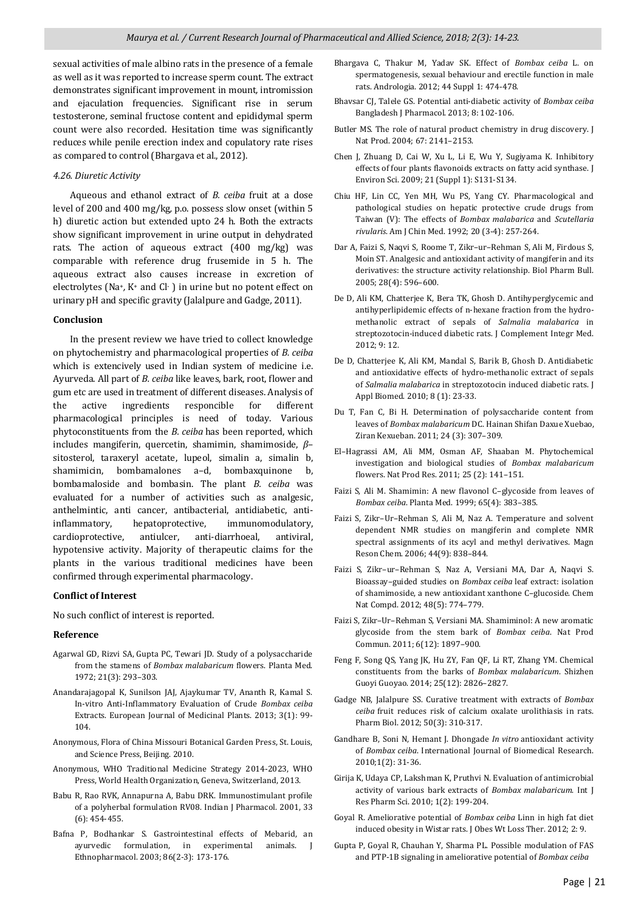sexual activities of male albino rats in the presence of a female as well as it was reported to increase sperm count. The extract demonstrates significant improvement in mount*,* intromission and ejaculation frequencies. Significant rise in serum testosterone*,* seminal fructose content and epididymal sperm count were also recorded. Hesitation time was significantly reduces while penile erection index and copulatory rate rises as compared to control (Bhargava et al., 2012).

#### *4.26. Diuretic Activity*

 Aqueous and ethanol extract of *B. ceiba* fruit at a dose level of 200 and 400 mg/kg*,* p.o. possess slow onset (within 5 h) diuretic action but extended upto 24 h. Both the extracts show significant improvement in urine output in dehydrated rats. The action of aqueous extract (400 mg/kg) was comparable with reference drug frusemide in 5 h. The aqueous extract also causes increase in excretion of electrolytes (Na+*,* K+ and Cl- ) in urine but no potent effect on urinary pH and specific gravity (Jalalpure and Gadge*,* 2011).

#### **Conclusion**

 In the present review we have tried to collect knowledge on phytochemistry and pharmacological properties of *B. ceiba*  which is extencively used in Indian system of medicine i.e. Ayurveda. All part of *B. ceiba* like leaves, bark, root, flower and gum etc are used in treatment of different diseases. Analysis of the active ingredients responcible for different pharmacological principles is need of today. Various phytoconstituents from the *B. ceiba* has been reported, which includes mangiferin, quercetin, shamimin, shamimoside, *β*– sitosterol, taraxeryl acetate, lupeol, simalin a, simalin b, shamimicin, bombamalones a–d, bombaxquinone b, bombamaloside and bombasin. The plant *B. ceiba* was evaluated for a number of activities such as analgesic, anthelmintic, anti cancer, antibacterial, antidiabetic, antiinflammatory, hepatoprotective, immunomodulatory, cardioprotective, antiulcer, anti-diarrhoeal, antiviral, hypotensive activity. Majority of therapeutic claims for the plants in the various traditional medicines have been confirmed through experimental pharmacology.

#### **Conflict of Interest**

No such conflict of interest is reported.

#### **Reference**

- Agarwal GD, Rizvi SA, Gupta PC, Tewari JD. Study of a polysaccharide from the stamens of *Bombax malabaricum* flowers. Planta Med. 1972; 21(3): 293–303.
- Anandarajagopal K, Sunilson JAJ, Ajaykumar TV, Ananth R, Kamal S. In-vitro Anti-Inflammatory Evaluation of Crude *Bombax ceiba* Extracts. European Journal of Medicinal Plants. 2013; 3(1): 99- 104.
- Anonymous, Flora of China Missouri Botanical Garden Press, St. Louis, and Science Press, Beijing. 2010.
- Anonymous, WHO Traditional Medicine Strategy 2014-2023, WHO Press, World Health Organization, Geneva, Switzerland, 2013.
- Babu R, Rao RVK, Annapurna A, Babu DRK. Immunostimulant profile of a polyherbal formulation RV08. Indian J Pharmacol. 2001, 33 (6): 454-455.
- Bafna P, Bodhankar S. Gastrointestinal effects of Mebarid, an ayurvedic formulation, in experimental animals. J Ethnopharmacol. 2003; 86(2-3): 173-176.
- Bhargava C, Thakur M, Yadav SK. Effect of *Bombax ceiba* L. on spermatogenesis, sexual behaviour and erectile function in male rats. Andrologia. 2012; 44 Suppl 1: 474-478.
- Bhavsar CJ, Talele GS. Potential anti-diabetic activity of *Bombax ceiba*  Bangladesh J Pharmacol. 2013; 8: 102-106.
- Butler MS. The role of natural product chemistry in drug discovery. J Nat Prod. 2004; 67: 2141–2153.
- Chen J, Zhuang D, Cai W, Xu L, Li E, Wu Y, Sugiyama K. Inhibitory effects of four plants flavonoids extracts on fatty acid synthase. J Environ Sci. 2009; 21 (Suppl 1): S131-S134.
- Chiu HF, Lin CC, Yen MH, Wu PS, Yang CY. Pharmacological and pathological studies on hepatic protective crude drugs from Taiwan (V): The effects of *Bombax malabarica* and *Scutellaria rivularis*. Am J Chin Med. 1992; 20 (3-4): 257-264.
- Dar A, Faizi S, Naqvi S, Roome T, Zikr–ur–Rehman S, Ali M, Firdous S, Moin ST. Analgesic and antioxidant activity of mangiferin and its derivatives: the structure activity relationship. Biol Pharm Bull. 2005; 28(4): 596–600.
- De D, Ali KM, Chatterjee K, Bera TK, Ghosh D. Antihyperglycemic and antihyperlipidemic effects of n-hexane fraction from the hydromethanolic extract of sepals of *Salmalia malabarica* in streptozotocin-induced diabetic rats. J Complement Integr Med. 2012; 9: 12.
- De D, Chatterjee K, Ali KM, Mandal S, Barik B, Ghosh D. Antidiabetic and antioxidative effects of hydro-methanolic extract of sepals of *Salmalia malabarica* in streptozotocin induced diabetic rats. J Appl Biomed. 2010; 8 (1): 23-33.
- Du T, Fan C, Bi H. Determination of polysaccharide content from leaves of *Bombax malabaricum* DC. Hainan Shifan Daxue Xuebao, Ziran Kexueban. 2011; 24 (3): 307–309.
- El–Hagrassi AM, Ali MM, Osman AF, Shaaban M. Phytochemical investigation and biological studies of *Bombax malabaricum* flowers. Nat Prod Res. 2011; 25 (2): 141–151.
- Faizi S, Ali M. Shamimin: A new flavonol C–glycoside from leaves of *Bombax ceiba*. Planta Med. 1999; 65(4): 383–385.
- Faizi S, Zikr–Ur–Rehman S, Ali M, Naz A. Temperature and solvent dependent NMR studies on mangiferin and complete NMR spectral assignments of its acyl and methyl derivatives. Magn Reson Chem. 2006; 44(9): 838–844.
- Faizi S, Zikr–ur–Rehman S, Naz A, Versiani MA, Dar A, Naqvi S. Bioassay–guided studies on *Bombax ceiba* leaf extract: isolation of shamimoside, a new antioxidant xanthone C–glucoside. Chem Nat Compd. 2012; 48(5): 774–779.
- Faizi S, Zikr–Ur–Rehman S, Versiani MA. Shamiminol: A new aromatic glycoside from the stem bark of *Bombax ceiba*. Nat Prod Commun. 2011; 6(12): 1897–900.
- Feng F, Song QS, Yang JK, Hu ZY, Fan QF, Li RT, Zhang YM. Chemical constituents from the barks of *Bombax malabaricum*. Shizhen Guoyi Guoyao. 2014; 25(12): 2826–2827.
- Gadge NB, Jalalpure SS. Curative treatment with extracts of *Bombax ceiba* fruit reduces risk of calcium oxalate urolithiasis in rats. Pharm Biol. 2012; 50(3): 310-317.
- Gandhare B, Soni N, Hemant J. Dhongade *In vitro* antioxidant activity of *Bombax ceiba*. International Journal of Biomedical Research. 2010;1(2): 31-36.
- Girija K, Udaya CP, Lakshman K, Pruthvi N. Evaluation of antimicrobial activity of various bark extracts of *Bombax malabaricum*. Int J Res Pharm Sci. 2010; 1(2): 199-204.
- Goyal R. Ameliorative potential of *Bombax ceiba* Linn in high fat diet induced obesity in Wistar rats. J Obes Wt Loss Ther. 2012; 2: 9.
- Gupta P, Goyal R, Chauhan Y, Sharma PL. Possible modulation of FAS and PTP-1B signaling in ameliorative potential of *Bombax ceiba*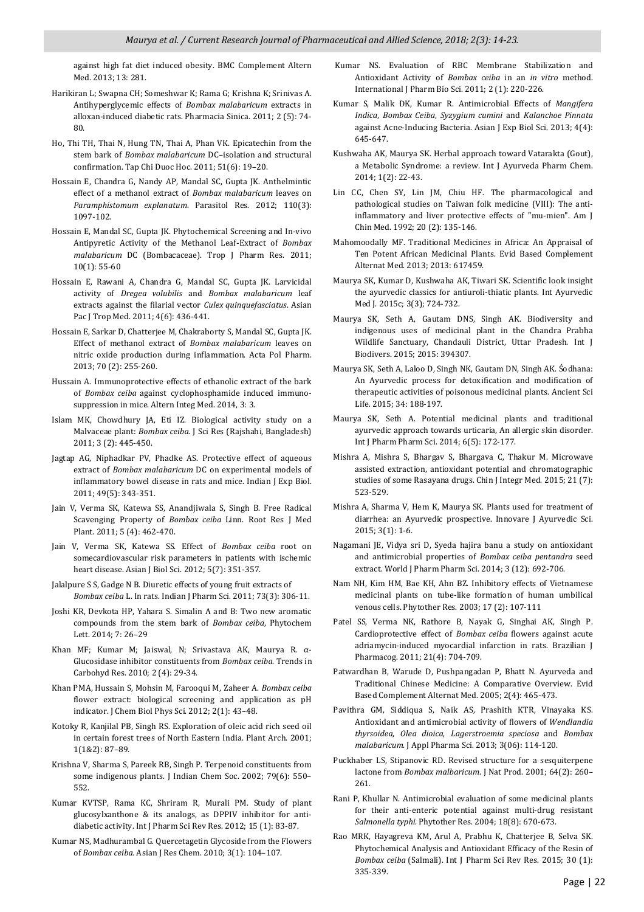against high fat diet induced obesity. BMC Complement Altern Med. 2013; 13: 281.

- Harikiran L; Swapna CH; Someshwar K; Rama G; Krishna K; Srinivas A. Antihyperglycemic effects of *Bombax malabaricum* extracts in alloxan-induced diabetic rats. Pharmacia Sinica. 2011; 2 (5): 74- 80.
- Ho, Thi TH, Thai N, Hung TN, Thai A, Phan VK. Epicatechin from the stem bark of *Bombax malabaricum* DC–isolation and structural confirmation. Tap Chi Duoc Hoc. 2011; 51(6): 19–20.
- Hossain E, Chandra G, Nandy AP, Mandal SC, Gupta JK. Anthelmintic effect of a methanol extract of *Bombax malabaricum* leaves on *Paramphistomum explanatum*. Parasitol Res. 2012; 110(3): 1097-102.
- Hossain E, Mandal SC, Gupta JK. Phytochemical Screening and In-vivo Antipyretic Activity of the Methanol Leaf-Extract of *Bombax malabaricum* DC (Bombacaceae). Trop J Pharm Res. 2011; 10(1): 55-60
- Hossain E, Rawani A, Chandra G, Mandal SC, Gupta JK. Larvicidal activity of *Dregea volubilis* and *Bombax malabaricum* leaf extracts against the filarial vector *Culex quinquefasciatus*. Asian Pac J Trop Med. 2011; 4(6): 436-441.
- Hossain E, Sarkar D, Chatterjee M, Chakraborty S, Mandal SC, Gupta JK. Effect of methanol extract of *Bombax malabaricum* leaves on nitric oxide production during inflammation. Acta Pol Pharm. 2013; 70 (2): 255-260.
- Hussain A. Immunoprotective effects of ethanolic extract of the bark of *Bombax ceiba* against cyclophosphamide induced immunosuppression in mice. Altern Integ Med. 2014, 3: 3.
- Islam MK, Chowdhury JA, Eti IZ. Biological activity study on a Malvaceae plant: *Bombax ceiba*. J Sci Res (Rajshahi, Bangladesh) 2011; 3 (2): 445-450.
- Jagtap AG, Niphadkar PV, Phadke AS. Protective effect of aqueous extract of *Bombax malabaricum* DC on experimental models of inflammatory bowel disease in rats and mice. Indian J Exp Biol. 2011; 49(5): 343-351.
- Jain V, Verma SK, Katewa SS, Anandjiwala S, Singh B. Free Radical Scavenging Property of *Bombax ceiba* Linn. Root Res J Med Plant. 2011; 5 (4): 462-470.
- Jain V, Verma SK, Katewa SS. Effect of *Bombax ceiba* root on somecardiovascular risk parameters in patients with ischemic heart disease. Asian J Biol Sci. 2012; 5(7): 351-357.
- Jalalpure S S, Gadge N B. Diuretic effects of young fruit extracts of *Bombax ceiba* L. In rats. Indian J Pharm Sci. 2011; 73(3): 306-11.
- Joshi KR, Devkota HP, Yahara S. Simalin A and B: Two new aromatic compounds from the stem bark of *Bombax ceiba*, Phytochem Lett. 2014; 7: 26–29
- Khan MF; Kumar M; Jaiswal, N; Srivastava AK, Maurya R. α-Glucosidase inhibitor constituents from *Bombax ceiba*. Trends in Carbohyd Res. 2010; 2 (4): 29-34.
- Khan PMA, Hussain S, Mohsin M, Farooqui M, Zaheer A. *Bombax ceiba*  flower extract: biological screening and application as pH indicator. J Chem Biol Phys Sci. 2012; 2(1): 43–48.
- Kotoky R, Kanjilal PB, Singh RS. Exploration of oleic acid rich seed oil in certain forest trees of North Eastern India. Plant Arch. 2001; 1(1&2): 87–89.
- Krishna V, Sharma S, Pareek RB, Singh P. Terpenoid constituents from some indigenous plants. J Indian Chem Soc. 2002; 79(6): 550– 552.
- Kumar KVTSP, Rama KC, Shriram R, Murali PM. Study of plant glucosylxanthone & its analogs, as DPPIV inhibitor for antidiabetic activity. Int J Pharm Sci Rev Res. 2012; 15 (1): 83-87.
- Kumar NS, Madhurambal G. Quercetagetin Glycoside from the Flowers of *Bombax ceiba*. Asian J Res Chem. 2010; 3(1): 104–107.
- Kumar NS. Evaluation of RBC Membrane Stabilization and Antioxidant Activity of *Bombax ceiba* in an *in vitro* method. International J Pharm Bio Sci. 2011; 2 (1): 220-226.
- Kumar S, Malik DK, Kumar R. Antimicrobial Effects of *Mangifera Indica*, *Bombax Ceiba*, *Syzygium cumini* and *Kalanchoe Pinnata* against Acne-Inducing Bacteria. Asian J Exp Biol Sci. 2013; 4(4): 645-647.
- Kushwaha AK, Maurya SK. Herbal approach toward Vatarakta (Gout), a Metabolic Syndrome: a review. Int J Ayurveda Pharm Chem. 2014; 1(2): 22-43.
- Lin CC, Chen SY, Lin JM, Chiu HF. The pharmacological and pathological studies on Taiwan folk medicine (VIII): The antiinflammatory and liver protective effects of "mu-mien". Am J Chin Med. 1992; 20 (2): 135-146.
- Mahomoodally MF. Traditional Medicines in Africa: An Appraisal of Ten Potent African Medicinal Plants. Evid Based Complement Alternat Med. 2013; 2013: 617459.
- Maurya SK, Kumar D, Kushwaha AK, Tiwari SK. Scientific look insight the ayurvedic classics for antiuroli-thiatic plants. Int Ayurvedic Med J. 2015c; 3(3); 724-732.
- Maurya SK, Seth A, Gautam DNS, Singh AK. Biodiversity and indigenous uses of medicinal plant in the Chandra Prabha Wildlife Sanctuary, Chandauli District, Uttar Pradesh. Int J Biodivers. 2015; 2015: 394307.
- Maurya SK, Seth A, Laloo D, Singh NK, Gautam DN, Singh AK. Śodhana: An Ayurvedic process for detoxification and modification of therapeutic activities of poisonous medicinal plants. Ancient Sci Life. 2015; 34: 188-197.
- Maurya SK, Seth A. Potential medicinal plants and traditional ayurvedic approach towards urticaria, An allergic skin disorder. Int J Pharm Pharm Sci. 2014; 6(5): 172-177.
- Mishra A, Mishra S, Bhargav S, Bhargava C, Thakur M. Microwave assisted extraction, antioxidant potential and chromatographic studies of some Rasayana drugs. Chin J Integr Med. 2015; 21 (7): 523-529.
- Mishra A, Sharma V, Hem K, Maurya SK. Plants used for treatment of diarrhea: an Ayurvedic prospective. Innovare J Ayurvedic Sci. 2015; 3(1): 1-6.
- Nagamani JE, Vidya sri D, Syeda hajira banu a study on antioxidant and antimicrobial properties of *Bombax ceiba pentandra* seed extract. World J Pharm Pharm Sci. 2014; 3 (12): 692-706.
- Nam NH, Kim HM, Bae KH, Ahn BZ. Inhibitory effects of Vietnamese medicinal plants on tube-like formation of human umbilical venous cells. Phytother Res. 2003; 17 (2): 107-111
- Patel SS, Verma NK, Rathore B, Nayak G, Singhai AK, Singh P. Cardioprotective effect of *Bombax ceiba* flowers against acute adriamycin-induced myocardial infarction in rats. Brazilian J Pharmacog. 2011; 21(4): 704-709.
- Patwardhan B, Warude D, Pushpangadan P, Bhatt N. Ayurveda and Traditional Chinese Medicine: A Comparative Overview. Evid Based Complement Alternat Med. 2005; 2(4): 465-473.
- Pavithra GM, Siddiqua S, Naik AS, Prashith KTR, Vinayaka KS. Antioxidant and antimicrobial activity of flowers of *Wendlandia thyrsoidea*, *Olea dioica*, *Lagerstroemia speciosa* and *Bombax malabaricum*. J Appl Pharma Sci. 2013; 3(06): 114-120.
- Puckhaber LS, Stipanovic RD. Revised structure for a sesquiterpene lactone from *Bombax malbaricum*. J Nat Prod. 2001; 64(2): 260– 261.
- Rani P, Khullar N. Antimicrobial evaluation of some medicinal plants for their anti-enteric potential against multi-drug resistant *Salmonella typhi.* Phytother Res. 2004; 18(8): 670-673.
- Rao MRK, Hayagreva KM, Arul A, Prabhu K, Chatterjee B, Selva SK. Phytochemical Analysis and Antioxidant Efficacy of the Resin of *Bombax ceiba* (Salmali). Int J Pharm Sci Rev Res. 2015; 30 (1): 335-339.